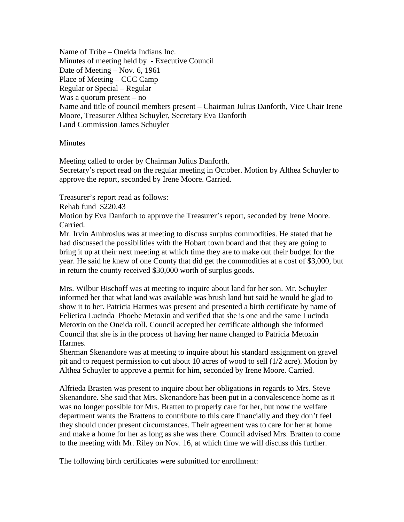Name of Tribe – Oneida Indians Inc. Minutes of meeting held by - Executive Council Date of Meeting – Nov. 6, 1961 Place of Meeting – CCC Camp Regular or Special – Regular Was a quorum present – no Name and title of council members present – Chairman Julius Danforth, Vice Chair Irene Moore, Treasurer Althea Schuyler, Secretary Eva Danforth Land Commission James Schuyler

## **Minutes**

Meeting called to order by Chairman Julius Danforth. Secretary's report read on the regular meeting in October. Motion by Althea Schuyler to approve the report, seconded by Irene Moore. Carried.

Treasurer's report read as follows:

Rehab fund \$220.43

Motion by Eva Danforth to approve the Treasurer's report, seconded by Irene Moore. Carried.

Mr. Irvin Ambrosius was at meeting to discuss surplus commodities. He stated that he had discussed the possibilities with the Hobart town board and that they are going to bring it up at their next meeting at which time they are to make out their budget for the year. He said he knew of one County that did get the commodities at a cost of \$3,000, but in return the county received \$30,000 worth of surplus goods.

Mrs. Wilbur Bischoff was at meeting to inquire about land for her son. Mr. Schuyler informed her that what land was available was brush land but said he would be glad to show it to her. Patricia Harmes was present and presented a birth certificate by name of Felietica Lucinda Phoebe Metoxin and verified that she is one and the same Lucinda Metoxin on the Oneida roll. Council accepted her certificate although she informed Council that she is in the process of having her name changed to Patricia Metoxin Harmes.

Sherman Skenandore was at meeting to inquire about his standard assignment on gravel pit and to request permission to cut about 10 acres of wood to sell (1/2 acre). Motion by Althea Schuyler to approve a permit for him, seconded by Irene Moore. Carried.

Alfrieda Brasten was present to inquire about her obligations in regards to Mrs. Steve Skenandore. She said that Mrs. Skenandore has been put in a convalescence home as it was no longer possible for Mrs. Bratten to properly care for her, but now the welfare department wants the Brattens to contribute to this care financially and they don't feel they should under present circumstances. Their agreement was to care for her at home and make a home for her as long as she was there. Council advised Mrs. Bratten to come to the meeting with Mr. Riley on Nov. 16, at which time we will discuss this further.

The following birth certificates were submitted for enrollment: